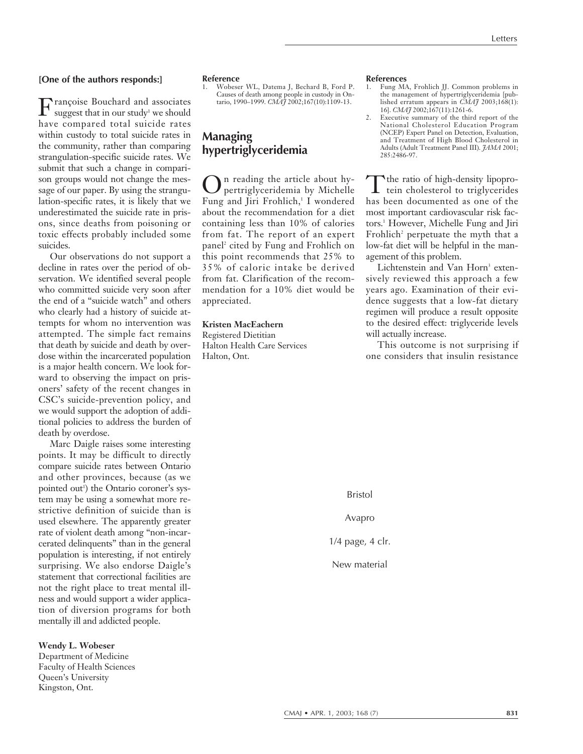#### **[One of the authors responds:]**

Françoise Bouchard and associates suggest that in our study<sup>1</sup> we should have compared total suicide rates within custody to total suicide rates in the community, rather than comparing strangulation-specific suicide rates. We submit that such a change in comparison groups would not change the message of our paper. By using the strangulation-specific rates, it is likely that we underestimated the suicide rate in prisons, since deaths from poisoning or toxic effects probably included some suicides.

Our observations do not support a decline in rates over the period of observation. We identified several people who committed suicide very soon after the end of a "suicide watch" and others who clearly had a history of suicide attempts for whom no intervention was attempted. The simple fact remains that death by suicide and death by overdose within the incarcerated population is a major health concern. We look forward to observing the impact on prisoners' safety of the recent changes in CSC's suicide-prevention policy, and we would support the adoption of additional policies to address the burden of death by overdose.

Marc Daigle raises some interesting points. It may be difficult to directly compare suicide rates between Ontario and other provinces, because (as we pointed out<sup>1</sup>) the Ontario coroner's system may be using a somewhat more restrictive definition of suicide than is used elsewhere. The apparently greater rate of violent death among "non-incarcerated delinquents" than in the general population is interesting, if not entirely surprising. We also endorse Daigle's statement that correctional facilities are not the right place to treat mental illness and would support a wider application of diversion programs for both mentally ill and addicted people.

**Wendy L. Wobeser**

Department of Medicine Faculty of Health Sciences Queen's University Kingston, Ont.

#### **Reference**

1. Wobeser WL, Datema J, Bechard B, Ford P. Causes of death among people in custody in On-tario, 1990–1999. *CMAJ* 2002;167(10):1109-13.

### **Managing hypertriglyceridemia**

n reading the article about hypertriglyceridemia by Michelle Fung and Jiri Frohlich,<sup>1</sup> I wondered about the recommendation for a diet containing less than 10% of calories from fat. The report of an expert panel<sup>2</sup> cited by Fung and Frohlich on this point recommends that 25% to 35% of caloric intake be derived from fat. Clarification of the recommendation for a 10% diet would be appreciated.

#### **Kristen MacEachern**

Registered Dietitian Halton Health Care Services Halton, Ont.

## **References**<br>1. Fung M/

- 1. Fung MA, Frohlich JJ. Common problems in the management of hypertriglyceridemia [published erratum appears in *CMAJ* 2003;168(1): 16]. *CMAJ* 2002;167(11):1261-6.
- 2. Executive summary of the third report of the National Cholesterol Education Program (NCEP) Expert Panel on Detection, Evaluation, and Treatment of High Blood Cholesterol in Adults (Adult Treatment Panel III). *JAMA* 2001; 285:2486-97.

Tthe ratio of high-density lipoprotein cholesterol to triglycerides has been documented as one of the most important cardiovascular risk factors.1 However, Michelle Fung and Jiri Frohlich<sup>2</sup> perpetuate the myth that a low-fat diet will be helpful in the management of this problem.

Lichtenstein and Van Horn<sup>3</sup> extensively reviewed this approach a few years ago. Examination of their evidence suggests that a low-fat dietary regimen will produce a result opposite to the desired effect: triglyceride levels will actually increase.

This outcome is not surprising if one considers that insulin resistance

Bristol

Avapro

1/4 page, 4 clr.

New material